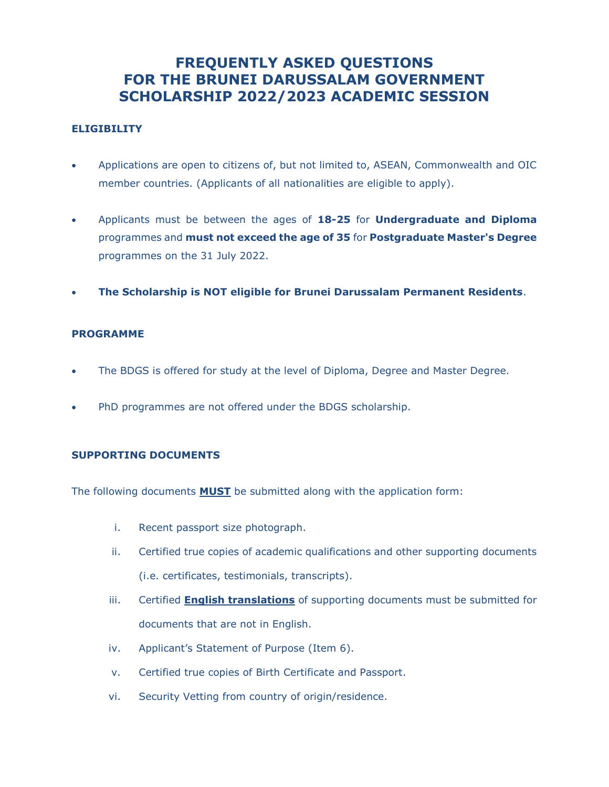# **FREQUENTLY ASKED QUESTIONS FOR THE BRUNEI DARUSSALAM GOVERNMENT SCHOLARSHIP 2022/2023 ACADEMIC SESSION**

## **ELIGIBILITY**

- Applications are open to citizens of, but not limited to, ASEAN, Commonwealth and OIC member countries. (Applicants of all nationalities are eligible to apply).
- Applicants must be between the ages of **18-25** for **Undergraduate and Diploma** programmes and **must not exceed the age of 35** for **Postgraduate Master's Degree** programmes on the 31 July 2022.
- **The Scholarship is NOT eligible for Brunei Darussalam Permanent Residents**.

#### **PROGRAMME**

- The BDGS is offered for study at the level of Diploma, Degree and Master Degree.
- PhD programmes are not offered under the BDGS scholarship.

# **SUPPORTING DOCUMENTS**

The following documents **MUST** be submitted along with the application form:

- i. Recent passport size photograph.
- ii. Certified true copies of academic qualifications and other supporting documents (i.e. certificates, testimonials, transcripts).
- iii. Certified **English translations** of supporting documents must be submitted for documents that are not in English.
- iv. Applicant's Statement of Purpose (Item 6).
- v. Certified true copies of Birth Certificate and Passport.
- vi. Security Vetting from country of origin/residence.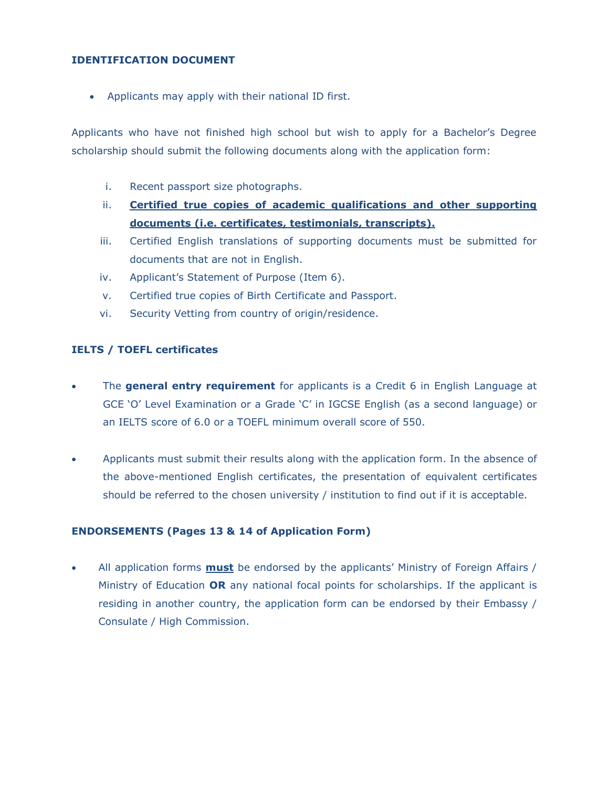## **IDENTIFICATION DOCUMENT**

• Applicants may apply with their national ID first.

Applicants who have not finished high school but wish to apply for a Bachelor's Degree scholarship should submit the following documents along with the application form:

- i. Recent passport size photographs.
- ii. **Certified true copies of academic qualifications and other supporting documents (i.e. certificates, testimonials, transcripts).**
- iii. Certified English translations of supporting documents must be submitted for documents that are not in English.
- iv. Applicant's Statement of Purpose (Item 6).
- v. Certified true copies of Birth Certificate and Passport.
- vi. Security Vetting from country of origin/residence.

## **IELTS / TOEFL certificates**

- The **general entry requirement** for applicants is a Credit 6 in English Language at GCE 'O' Level Examination or a Grade 'C' in IGCSE English (as a second language) or an IELTS score of 6.0 or a TOEFL minimum overall score of 550.
- Applicants must submit their results along with the application form. In the absence of the above-mentioned English certificates, the presentation of equivalent certificates should be referred to the chosen university / institution to find out if it is acceptable.

#### **ENDORSEMENTS (Pages 13 & 14 of Application Form)**

• All application forms **must** be endorsed by the applicants' Ministry of Foreign Affairs / Ministry of Education **OR** any national focal points for scholarships. If the applicant is residing in another country, the application form can be endorsed by their Embassy / Consulate / High Commission.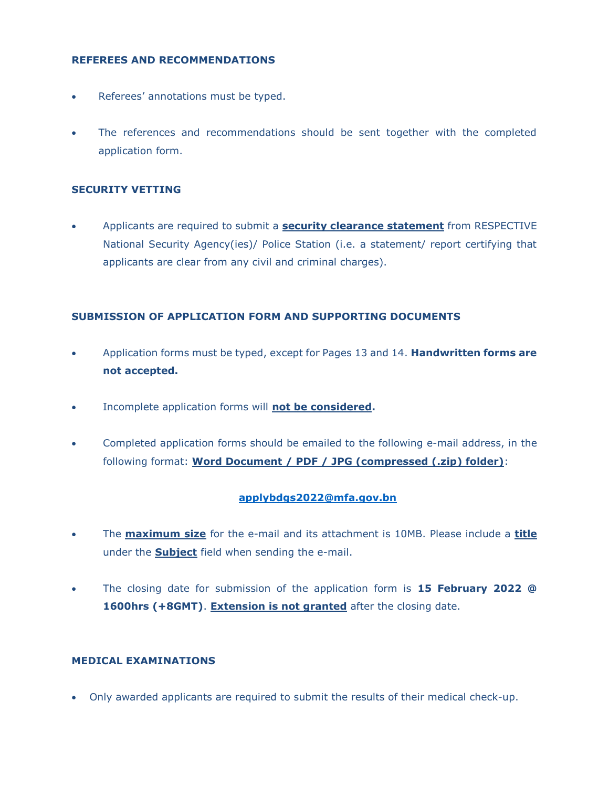#### **REFEREES AND RECOMMENDATIONS**

- Referees' annotations must be typed.
- The references and recommendations should be sent together with the completed application form.

## **SECURITY VETTING**

• Applicants are required to submit a **security clearance statement** from RESPECTIVE National Security Agency(ies)/ Police Station (i.e. a statement/ report certifying that applicants are clear from any civil and criminal charges).

# **SUBMISSION OF APPLICATION FORM AND SUPPORTING DOCUMENTS**

- Application forms must be typed, except for Pages 13 and 14. **Handwritten forms are not accepted.**
- Incomplete application forms will **not be considered.**
- Completed application forms should be emailed to the following e-mail address, in the following format: **Word Document / PDF / JPG (compressed (.zip) folder)**:

# **[applybdgs2022@mfa.gov.bn](mailto:applybdgs2022@mfa.gov.bn)**

- The **maximum size** for the e-mail and its attachment is 10MB. Please include a **title** under the **Subject** field when sending the e-mail.
- The closing date for submission of the application form is **15 February 2022 @**  1600hrs (+8GMT). **Extension is not granted** after the closing date.

#### **MEDICAL EXAMINATIONS**

• Only awarded applicants are required to submit the results of their medical check-up.